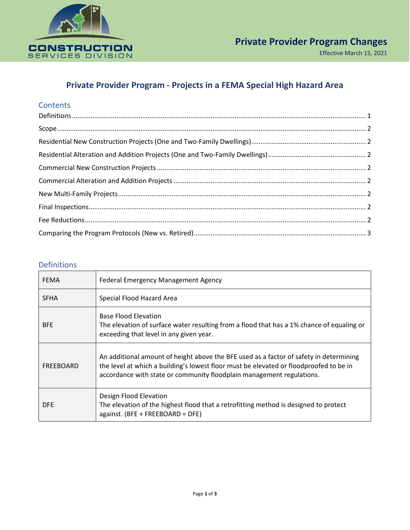

# **Private Provider Program - Projects in a FEMA Special High Hazard Area**

### **Contents**

#### <span id="page-0-0"></span>Definitions

| <b>FEMA</b> | Federal Emergency Management Agency                                                                                                                                                                                                                       |  |  |
|-------------|-----------------------------------------------------------------------------------------------------------------------------------------------------------------------------------------------------------------------------------------------------------|--|--|
| <b>SFHA</b> | Special Flood Hazard Area                                                                                                                                                                                                                                 |  |  |
| <b>BFE</b>  | <b>Base Flood Elevation</b><br>The elevation of surface water resulting from a flood that has a 1% chance of equaling or<br>exceeding that level in any given year.                                                                                       |  |  |
| FREEBOARD   | An additional amount of height above the BFE used as a factor of safety in determining<br>the level at which a building's lowest floor must be elevated or floodproofed to be in<br>accordance with state or community floodplain management regulations. |  |  |
| <b>DFE</b>  | Design Flood Elevation<br>The elevation of the highest flood that a retrofitting method is designed to protect<br>against. (BFE + FREEBOARD = DFE)                                                                                                        |  |  |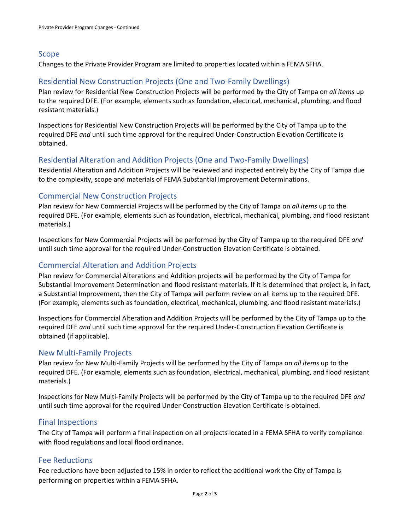### <span id="page-1-0"></span>Scope

Changes to the Private Provider Program are limited to properties located within a FEMA SFHA.

# <span id="page-1-1"></span>Residential New Construction Projects (One and Two-Family Dwellings)

Plan review for Residential New Construction Projects will be performed by the City of Tampa on *all items* up to the required DFE. (For example, elements such as foundation, electrical, mechanical, plumbing, and flood resistant materials.)

Inspections for Residential New Construction Projects will be performed by the City of Tampa up to the required DFE *and* until such time approval for the required Under-Construction Elevation Certificate is obtained.

## <span id="page-1-2"></span>Residential Alteration and Addition Projects (One and Two-Family Dwellings)

Residential Alteration and Addition Projects will be reviewed and inspected entirely by the City of Tampa due to the complexity, scope and materials of FEMA Substantial Improvement Determinations.

### <span id="page-1-3"></span>Commercial New Construction Projects

Plan review for New Commercial Projects will be performed by the City of Tampa on *all items* up to the required DFE. (For example, elements such as foundation, electrical, mechanical, plumbing, and flood resistant materials.)

Inspections for New Commercial Projects will be performed by the City of Tampa up to the required DFE *and* until such time approval for the required Under-Construction Elevation Certificate is obtained.

### <span id="page-1-4"></span>Commercial Alteration and Addition Projects

Plan review for Commercial Alterations and Addition projects will be performed by the City of Tampa for Substantial Improvement Determination and flood resistant materials. If it is determined that project is, in fact, a Substantial Improvement, then the City of Tampa will perform review on all items up to the required DFE. (For example, elements such as foundation, electrical, mechanical, plumbing, and flood resistant materials.)

Inspections for Commercial Alteration and Addition Projects will be performed by the City of Tampa up to the required DFE *and* until such time approval for the required Under-Construction Elevation Certificate is obtained (if applicable).

#### <span id="page-1-5"></span>New Multi-Family Projects

Plan review for New Multi-Family Projects will be performed by the City of Tampa on *all items* up to the required DFE. (For example, elements such as foundation, electrical, mechanical, plumbing, and flood resistant materials.)

Inspections for New Multi-Family Projects will be performed by the City of Tampa up to the required DFE *and* until such time approval for the required Under-Construction Elevation Certificate is obtained.

### <span id="page-1-6"></span>Final Inspections

The City of Tampa will perform a final inspection on all projects located in a FEMA SFHA to verify compliance with flood regulations and local flood ordinance.

### <span id="page-1-7"></span>Fee Reductions

Fee reductions have been adjusted to 15% in order to reflect the additional work the City of Tampa is performing on properties within a FEMA SFHA.